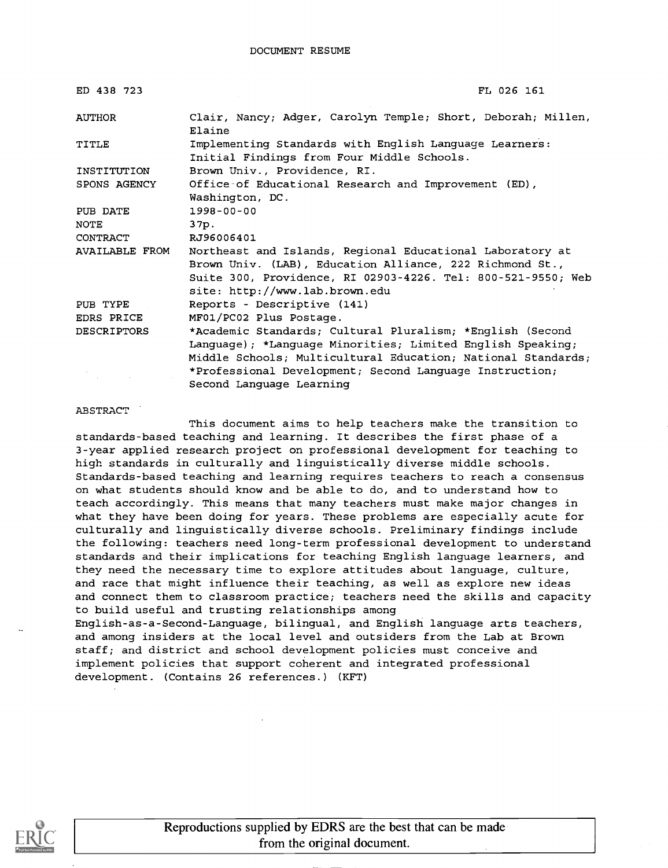| ED 438 723            | FL 026 161                                                                                                                                                                            |
|-----------------------|---------------------------------------------------------------------------------------------------------------------------------------------------------------------------------------|
| AUTHOR                | Clair, Nancy; Adger, Carolyn Temple; Short, Deborah; Millen,<br>Elaine                                                                                                                |
| TITLE                 | Implementing Standards with English Language Learners:<br>Initial Findings from Four Middle Schools.                                                                                  |
| INSTITUTION           | Brown Univ., Providence, RI.                                                                                                                                                          |
| SPONS AGENCY          | Office of Educational Research and Improvement (ED),                                                                                                                                  |
|                       | Washington, DC.                                                                                                                                                                       |
| PUB DATE              | 1998-00-00                                                                                                                                                                            |
| <b>NOTE</b>           | 37p.                                                                                                                                                                                  |
| CONTRACT              | RJ96006401                                                                                                                                                                            |
| <b>AVAILABLE FROM</b> | Northeast and Islands, Regional Educational Laboratory at<br>Brown Univ. (LAB), Education Alliance, 222 Richmond St.,<br>Suite 300, Providence, RI 02903-4226. Tel: 800-521-9550; Web |
|                       | site: http://www.lab.brown.edu                                                                                                                                                        |
| PUB TYPE              | Reports - Descriptive (141)                                                                                                                                                           |
| EDRS PRICE            | MF01/PC02 Plus Postage.                                                                                                                                                               |
| <b>DESCRIPTORS</b>    | *Academic Standards; Cultural Pluralism; *English (Second<br>Language); *Language Minorities; Limited English Speaking;                                                               |
|                       | Middle Schools; Multicultural Education; National Standards;                                                                                                                          |
|                       | *Professional Development; Second Language Instruction;                                                                                                                               |
|                       | Second Language Learning                                                                                                                                                              |

#### ABSTRACT

This document aims to help teachers make the transition to standards-based teaching and learning. It describes the first phase of a 3-year applied research project on professional development for teaching to high standards in culturally and linguistically diverse middle schools. Standards-based teaching and learning requires teachers to reach a consensus on what students should know and be able to do, and to understand how to teach accordingly. This means that many teachers must make major changes in what they have been doing for years. These problems are especially acute for culturally and linguistically diverse schools. Preliminary findings include the following: teachers need long-term professional development to understand standards and their implications for teaching English language learners, and they need the necessary time to explore attitudes about language, culture, and race that might influence their teaching, as well as explore new ideas and connect them to classroom practice; teachers need the skills and capacity to build useful and trusting relationships among English-as-a-Second-Language, bilingual, and English language arts teachers, and among insiders at the local level and outsiders from the Lab at Brown staff; and district and school development policies must conceive and implement policies that support coherent and integrated professional development. (Contains 26 references.) (KFT)



Reproductions supplied by EDRS are the best that can be made from the original document.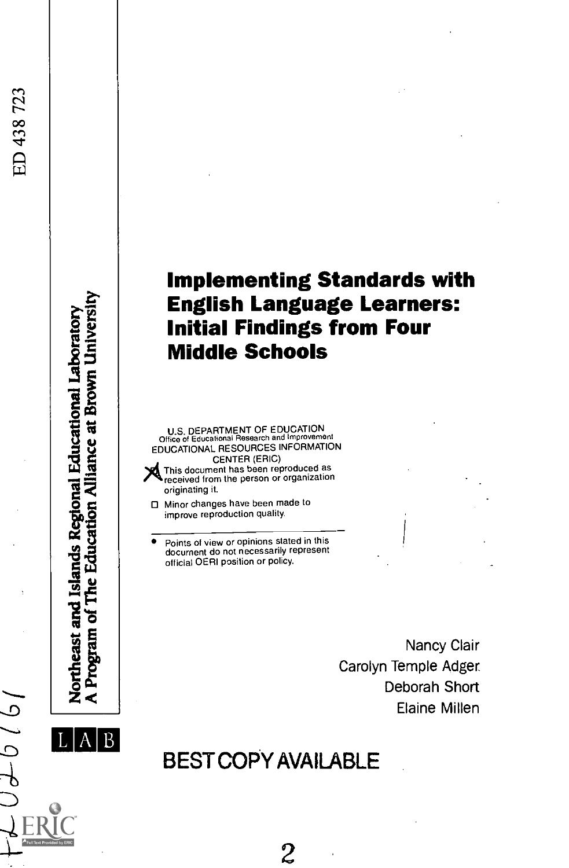## Implementing Standards with English Language Learners: Initial Findings from Four Middle Schools

U.S. DEPARTMENT OF EDUCATION<br>Office of Educational Research and Improvement EDUCATIONAL RESOURCES INFORMATION CENTER (ERIC)<br>This document has been reproduced as<br>received from the person or organization



e Education Alliance at Brown Universi

Program of

Northeast and Islands Regional Educational Laboratory

- originating it. □ Minor changes have been made to
	- improve reproduction quality.
- Points of view or opinions stated in this document do not necessarily represent official OERI position or policy.

Nancy Clair Carolyn Temple Adger. Deborah Short Elaine Millen

 $A \parallel B$ BEST COPY AVAILABLE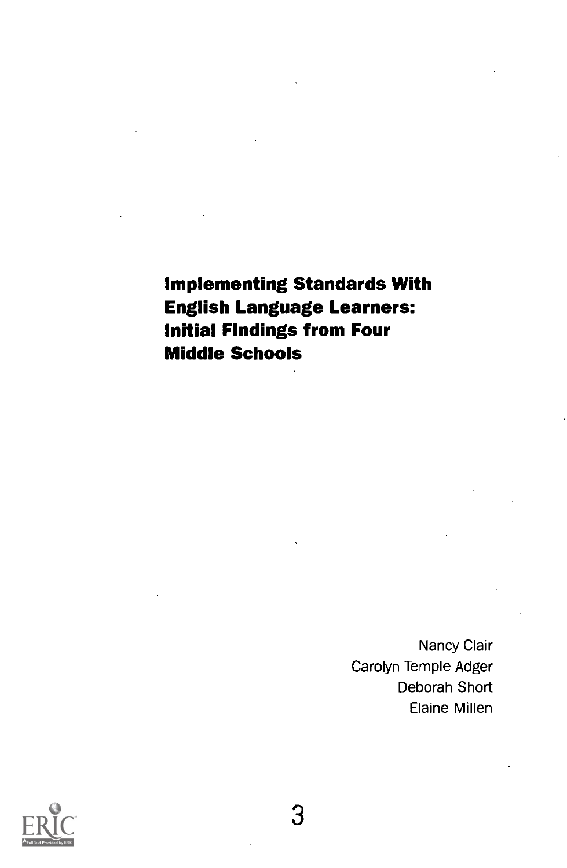Implementing Standards With English Language Learners: Initial Findings from Four Middle Schools

> Nancy Clair Carolyn Temple Adger Deborah Short Elaine Millen

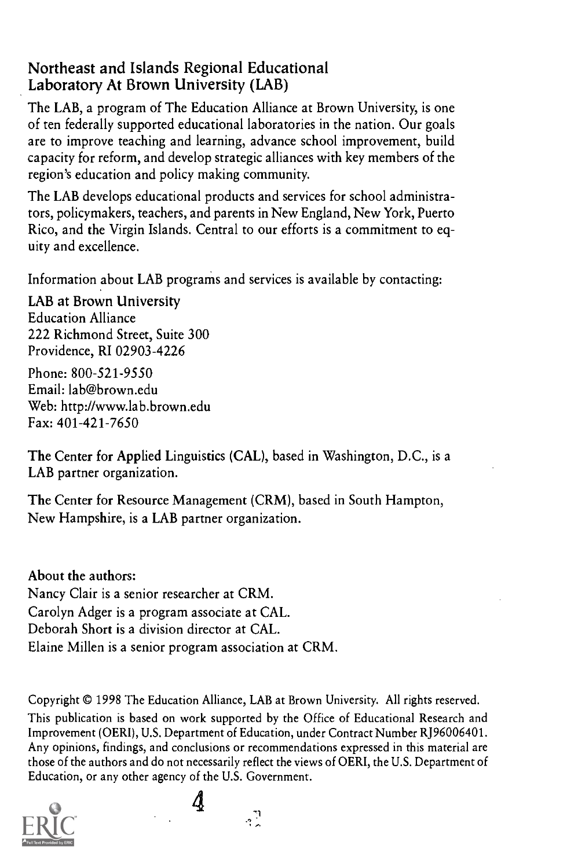#### Northeast and Islands Regional Educational Laboratory At Brown University (LAB)

The LAB, a program of The Education Alliance at Brown University, is one of ten federally supported educational laboratories in the nation. Our goals are to improve teaching and learning, advance school improvement, build capacity for reform, and develop strategic alliances with key members of the region's education and policy making community.

The LAB develops educational products and services for school administrators, policymakers, teachers, and parents in New England, New York, Puerto Rico, and the Virgin Islands. Central to our efforts is a commitment to equity and excellence.

Information about LAB programs and services is available by contacting:

LAB at Brown University Education Alliance 222 Richmond Street, Suite 300 Providence, RI 02903-4226

Phone: 800-521-9550 Email: lab@brown.edu Web: http://www.lab.brown.edu Fax: 401-421-7650

The Center for Applied Linguistics (CAL), based in Washington, D.C., is a LAB partner organization.

The Center for Resource Management (CRM), based in South Hampton, New Hampshire, is a LAB partner organization.

About the authors: Nancy Clair is a senior researcher at CRM. Carolyn Adger is a program associate at CAL. Deborah Short is a division director at CAL. Elaine Millen is a senior program association at CRM.

Copyright © 1998 The Education Alliance, LAB at Brown University. All rights reserved. This publication is based on work supported by the Office of Educational Research and Improvement (OERI), U.S. Department of Education, under Contract Number RJ96006401. Any opinions, findings, and conclusions or recommendations expressed in this material are those of the authors and do not necessarily reflect the views of OERI, the U.S. Department of Education, or any other agency of the U.S. Government.



 $\mathbb{R}^3$ 

4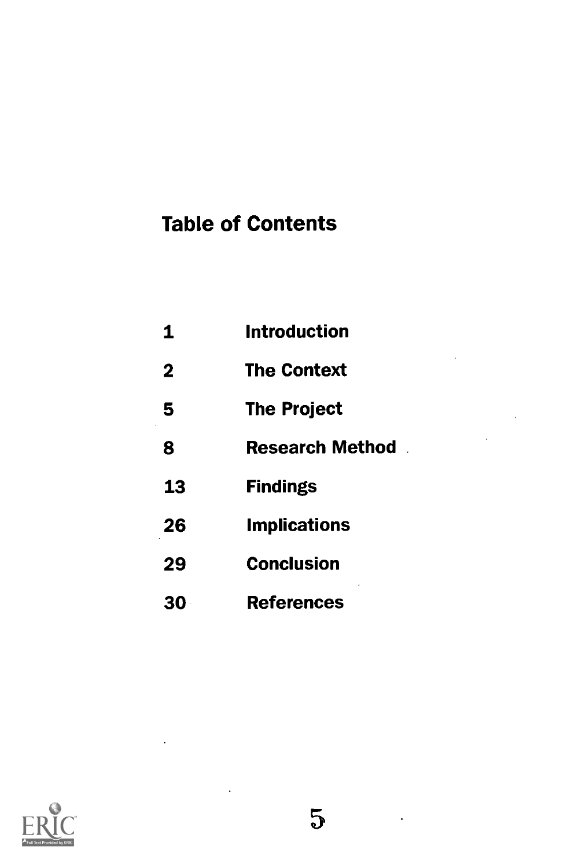# Table of Contents

| 1            | <b>Introduction</b>    |
|--------------|------------------------|
| $\mathbf{2}$ | <b>The Context</b>     |
| 5            | <b>The Project</b>     |
| 8            | <b>Research Method</b> |
| 13           | <b>Findings</b>        |
| 26           | <b>Implications</b>    |
| 29           | <b>Conclusion</b>      |
| 30           | <b>References</b>      |

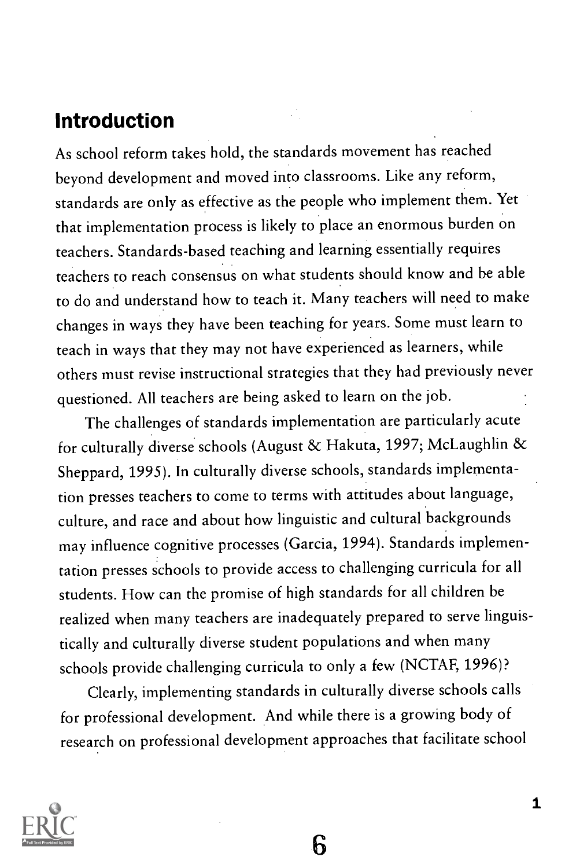## Introduction

As school reform takes hold, the standards movement has reached beyond development and moved into classrooms. Like any reform, standards are only as effective as the people who implement them. Yet that implementation process is likely to place an enormous burden on teachers. Standards-based teaching and learning essentially requires teachers to reach consensus on what students should know and be able to do and understand how to teach it. Many teachers will need to make changes in ways they have been teaching for years. Some must learn to teach in ways that they may not have experienced as learners, while others must revise instructional strategies that they had previously never questioned. All teachers are being asked to learn on the job.

The challenges of standards implementation are particularly acute for culturally diverse schools (August & Hakuta, 1997; McLaughlin & Sheppard, 1995). In culturally diverse schools, standards implementation presses teachers to come to terms with attitudes about language, culture, and race and about how linguistic and cultural backgrounds may influence cognitive processes (Garcia, 1994). Standards implementation presses schools to provide access to challenging curricula for all students. How can the promise of high standards for all children be realized when many teachers are inadequately prepared to serve linguistically and culturally diverse student populations and when many schools provide challenging curricula to only a few (NCTAF, 1996)?

Clearly, implementing standards in culturally diverse schools calls for professional development. And while there is a growing body of research on professional development approaches that facilitate school

ճ

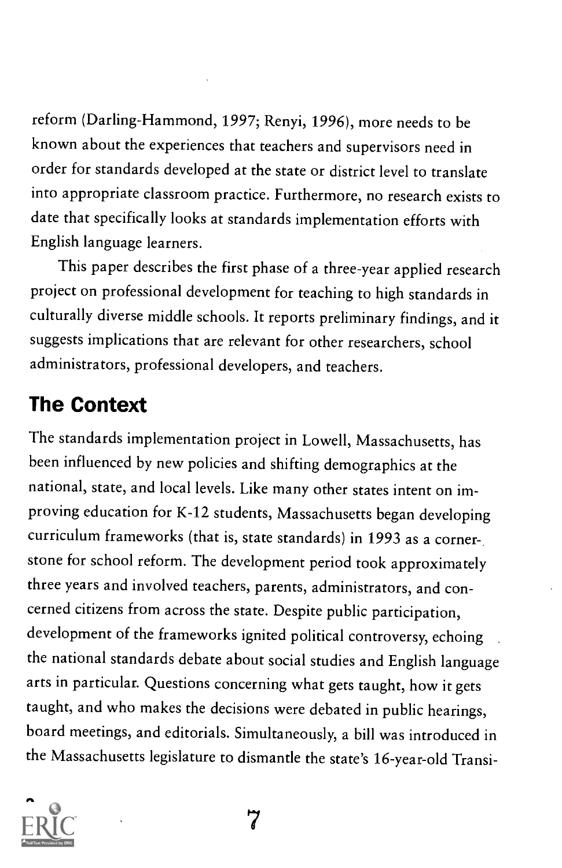reform (Darling-Hammond, 1997; Renyi, 1996), more needs to be known about the experiences that teachers and supervisors need in order for standards developed at the state or district level to translate into appropriate classroom practice. Furthermore, no research exists to date that specifically looks at standards implementation efforts with English language learners.

This paper describes the first phase of a three-year applied research project on professional development for teaching to high standards in culturally diverse middle schools. It reports preliminary findings, and it suggests implications that are relevant for other researchers, school administrators, professional developers, and teachers.

# The Context

The standards implementation project in Lowell, Massachusetts, has been influenced by new policies and shifting demographics at the national, state, and local levels. Like many other states intent on improving education for K-12 students, Massachusetts began developing curriculum frameworks (that is, state standards) in 1993 as a corner-, stone for school reform. The development period took approximately three years and involved teachers, parents, administrators, and concerned citizens from across the state. Despite public participation, development of the frameworks ignited political controversy, echoing the national standards debate about social studies and English language arts in particular. Questions concerning what gets taught, how it gets taught, and who makes the decisions were debated in public hearings, board meetings, and editorials. Simultaneously, a bill was introduced in the Massachusetts legislature to dismantle the state's 16-year-old Transi-



7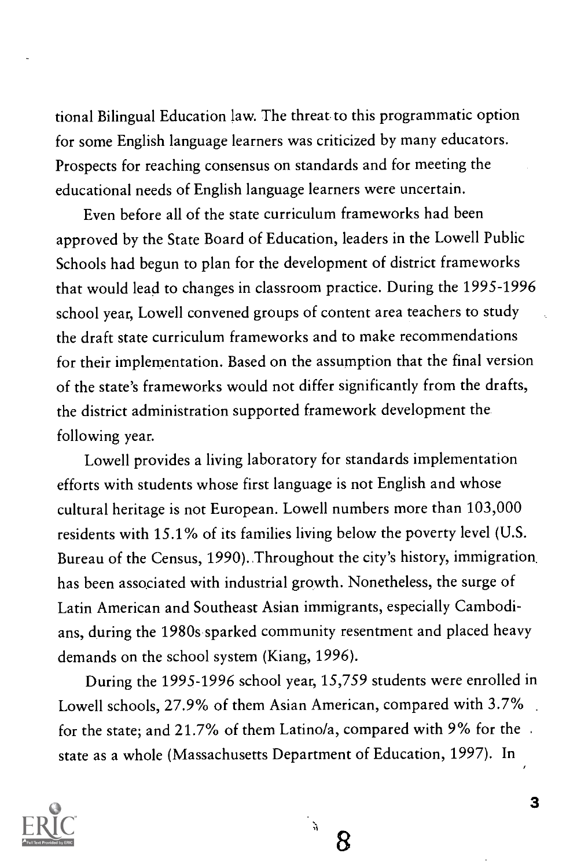tional Bilingual Education law. The threat to this programmatic option for some English language learners was criticized by many educators. Prospects for reaching consensus on standards and for meeting the educational needs of English language learners were uncertain.

Even before all of the state curriculum frameworks had been approved by the State Board of Education, leaders in the Lowell Public Schools had begun to plan for the development of district frameworks that would lead to changes in classroom practice. During the 1995-1996 school year, Lowell convened groups of content area teachers to study the draft state curriculum frameworks and to make recommendations for their implementation. Based on the assumption that the final version of the state's frameworks would not differ significantly from the drafts, the district administration supported framework development the following year.

Lowell provides a living laboratory for standards implementation efforts with students whose first language is not English and whose cultural heritage is not European. Lowell numbers more than 103,000 residents with 15.1% of its families living below the poverty level (U.S. Bureau of the Census, 1990).. Throughout the city's history, immigration. has been associated with industrial growth. Nonetheless, the surge of Latin American and Southeast Asian immigrants, especially Cambodians, during the 1980s sparked community resentment and placed heavy demands on the school system (Kiang, 1996).

During the 1995-1996 school year, 15,759 students were enrolled in Lowell schools, 27.9% of them Asian American, compared with 3.7% for the state; and 21.7% of them Latino/a, compared with 9% for the . state as a whole (Massachusetts Department of Education, 1997). In

R



3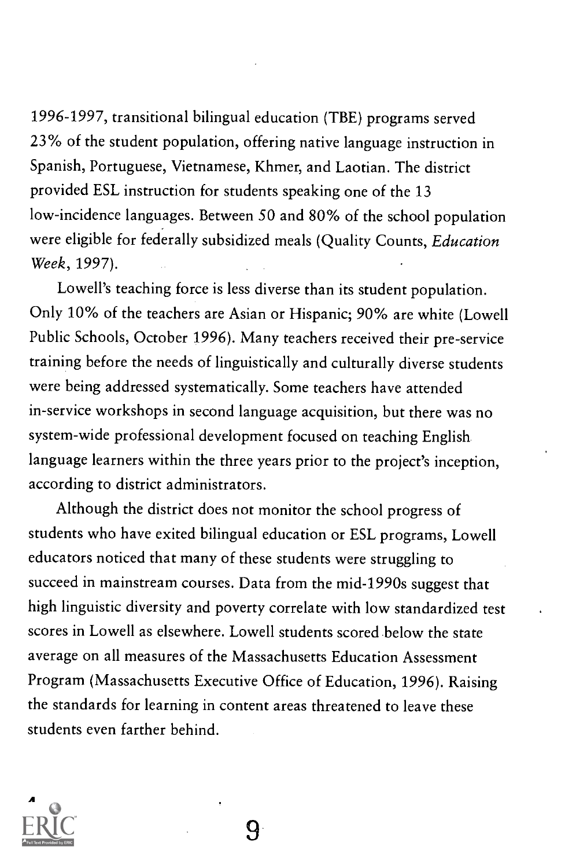1996-1997, transitional bilingual education (TBE) programs served 23% of the student population, offering native language instruction in Spanish, Portuguese, Vietnamese, Khmer, and Laotian. The district provided ESL instruction for students speaking one of the 13 low-incidence languages. Between 50 and 80% of the school population were eligible for federally subsidized meals (Quality Counts, Education Week, 1997).

Lowell's teaching force is less diverse than its student population. Only 10% of the teachers are Asian or Hispanic; 90% are white (Lowell Public Schools, October 1996). Many teachers received their pre-service training before the needs of linguistically and culturally diverse students were being addressed systematically. Some teachers have attended in-service workshops in second language acquisition, but there was no system-wide professional development focused on teaching English language learners within the three years prior to the project's inception, according to district administrators.

Although the district does not monitor the school progress of students who have exited bilingual education or ESL programs, Lowell educators noticed that many of these students were struggling to succeed in mainstream courses. Data from the mid-1990s suggest that high linguistic diversity and poverty correlate with low standardized test scores in Lowell as elsewhere. Lowell students scored below the state average on all measures of the Massachusetts Education Assessment Program (Massachusetts Executive Office of Education, 1996). Raising the standards for learning in content areas threatened to leave these students even farther behind.

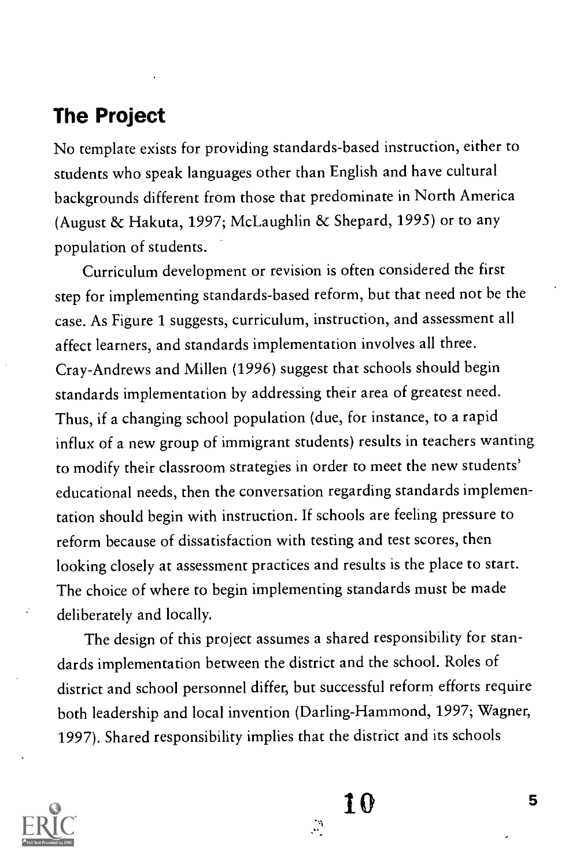## The Project

No template exists for providing standards-based instruction, either to students who speak languages other than English and have cultural backgrounds different from those that predominate in North America (August & Hakuta, 1997; McLaughlin & Shepard, 1995) or to any population of students.

Curriculum development or revision is often considered the first step for implementing standards-based reform, but that need not be the case. As Figure 1 suggests, curriculum, instruction, and assessment all affect learners, and standards implementation involves all three. Cray-Andrews and Millen (1996) suggest that schools should begin standards implementation by addressing their area of greatest need. Thus, if a changing school population (due, for instance, to a rapid influx of a new group of immigrant students) results in teachers wanting to modify their classroom strategies in order to meet the new students' educational needs, then the conversation regarding standards implementation should begin with instruction. If schools are feeling pressure to reform because of dissatisfaction with testing and test scores, then looking closely at assessment practices and results is the place to start. The choice of where to begin implementing standards must be made deliberately and locally.

The design of this project assumes a shared responsibility for standards implementation between the district and the school. Roles of district and school personnel differ, but successful reform efforts require both leadership and local invention (Darling-Hammond, 1997; Wagner, 1997). Shared responsibility implies that the district and its schools

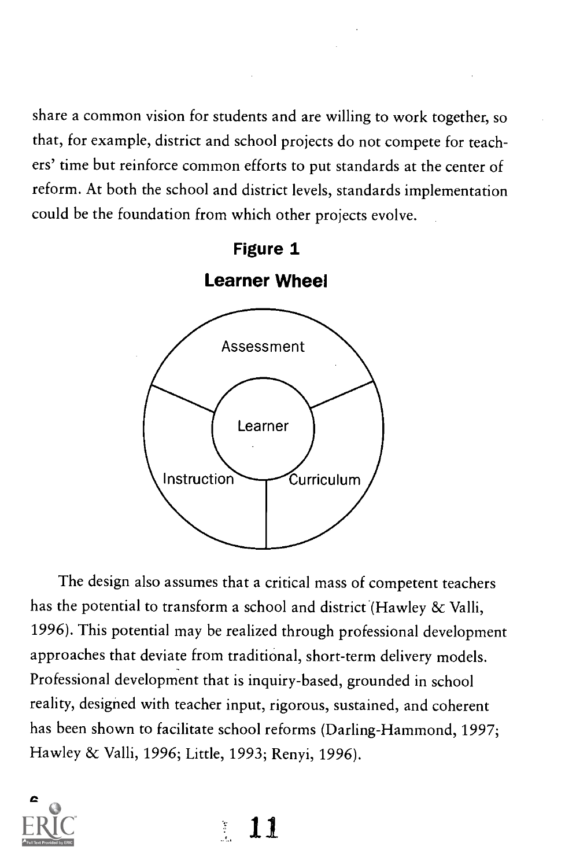share a common vision for students and are willing to work together, so that, for example, district and school projects do not compete for teachers' time but reinforce common efforts to put standards at the center of reform. At both the school and district levels, standards implementation could be the foundation from which other projects evolve.



The design also assumes that a critical mass of competent teachers has the potential to transform a school and district (Hawley & Valli, 1996). This potential may be realized through professional development approaches that deviate from traditional, short-term delivery models. Professional development that is inquiry-based, grounded in school reality, designed with teacher input, rigorous, sustained, and coherent has been shown to facilitate school reforms (Darling-Hammond, 1997; Hawley & Valli, 1996; Little, 1993; Renyi, 1996).



 $\mathcal{L}_{\mathcal{D}}$ 11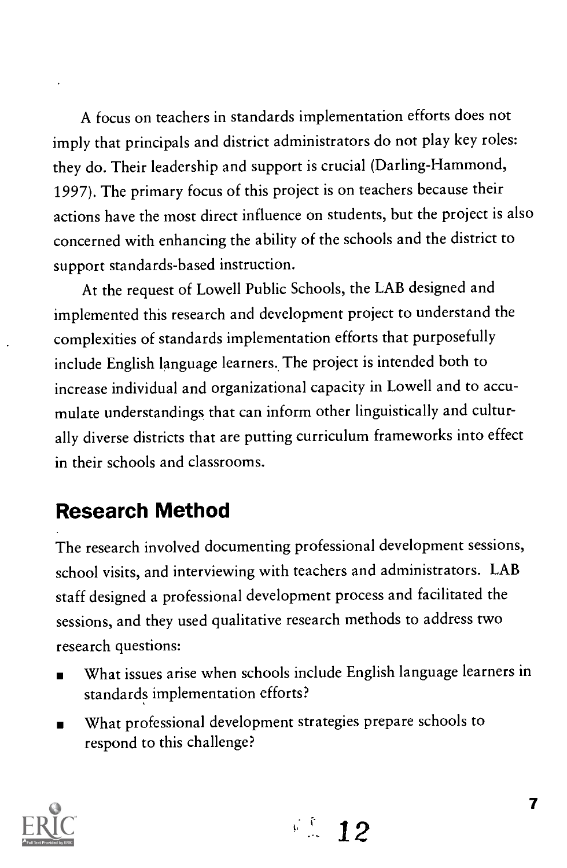A focus on teachers in standards implementation efforts does not imply that principals and district administrators do not play key roles: they do. Their leadership and support is crucial (Darling-Hammond, 1997). The primary focus of this project is on teachers because their actions have the most direct influence on students, but the project is also concerned with enhancing the ability of the schools and the district to support standards-based instruction.

At the request of Lowell Public Schools, the LAB designed and implemented this research and development project to understand the complexities of standards implementation efforts that purposefully include English language learners.. The project is intended both to increase individual and organizational capacity in Lowell and to accumulate understandings that can inform other linguistically and culturally diverse districts that are putting curriculum frameworks into effect in their schools and classrooms.

# Research Method

The research involved documenting professional development sessions, school visits, and interviewing with teachers and administrators. LAB staff designed a professional development process and facilitated the sessions, and they used qualitative research methods to address two research questions:

- What issues arise when schools include English language learners in standards implementation efforts?
- What professional development strategies prepare schools to respond to this challenge?

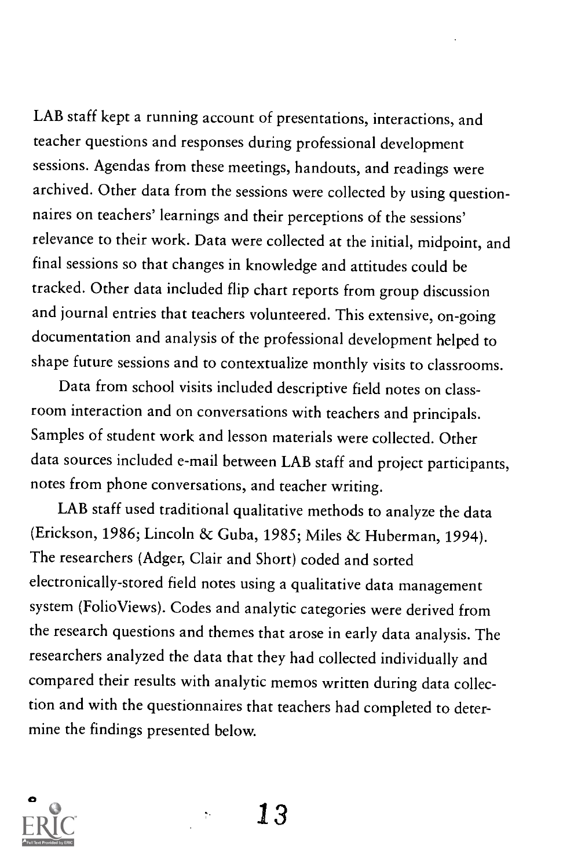LAB staff kept a running account of presentations, interactions, and teacher questions and responses during professional development sessions. Agendas from these meetings, handouts, and readings were archived. Other data from the sessions were collected by using questionnaires on teachers' learnings and their perceptions of the sessions' relevance to their work. Data were collected at the initial, midpoint, and final sessions so that changes in knowledge and attitudes could be tracked. Other data included flip chart reports from group discussion and journal entries that teachers volunteered. This extensive, on-going documentation and analysis of the professional development helped to shape future sessions and to contextualize monthly visits to classrooms.

Data from school visits included descriptive field notes on classroom interaction and on conversations with teachers and principals. Samples of student work and lesson materials were collected. Other data sources included e-mail between LAB staff and project participants, notes from phone conversations, and teacher writing.

LAB staff used traditional qualitative methods to analyze the data (Erickson, 1986; Lincoln & Guba, 1985; Miles & Huberman, 1994). The researchers (Adger, Clair and Short) coded and sorted electronically-stored field notes using a qualitative data management system (FolioViews). Codes and analytic categories were derived from the research questions and themes that arose in early data analysis. The researchers analyzed the data that they had collected individually and compared their results with analytic memos written during data collection and with the questionnaires that teachers had completed to determine the findings presented below.

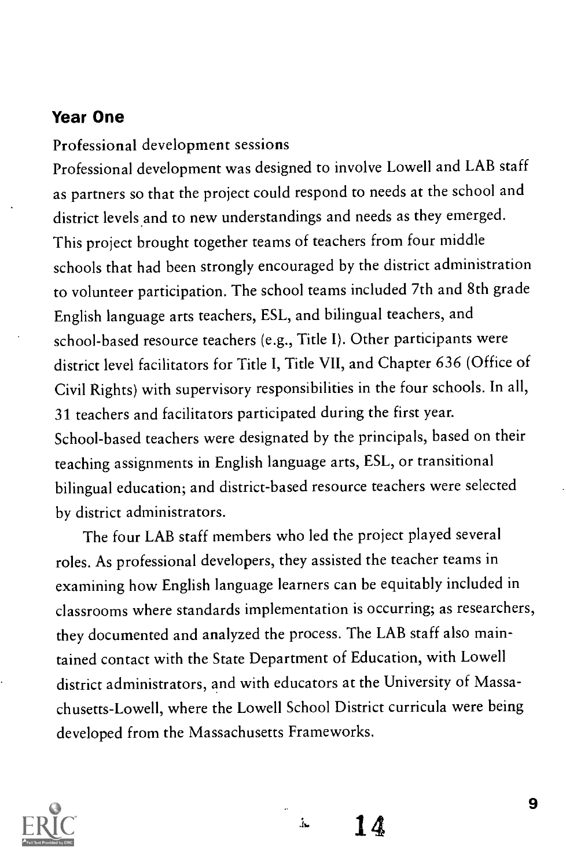#### Year One

Professional development sessions

Professional development was designed to involve Lowell and LAB staff as partners so that the project could respond to needs at the school and district levels and to new understandings and needs as they emerged. This project brought together teams of teachers from four middle schools that had been strongly encouraged by the district administration to volunteer participation. The school teams included 7th and 8th grade English language arts teachers, ESL, and bilingual teachers, and school-based resource teachers (e.g., Title I). Other participants were district level facilitators for Title I, Title VII, and Chapter 636 (Office of Civil Rights) with supervisory responsibilities in the four schools. In all, 31 teachers and facilitators participated during the first year. School-based teachers were designated by the principals, based on their teaching assignments in English language arts, ESL, or transitional bilingual education; and district-based resource teachers were selected by district administrators.

The four LAB staff members who led the project played several roles. As professional developers, they assisted the teacher teams in examining how English language learners can be equitably included in classrooms where standards implementation is occurring; as researchers, they documented and analyzed the process. The LAB staff also maintained contact with the State Department of Education, with Lowell district administrators, and with educators at the University of Massachusetts-Lowell, where the Lowell School District curricula were being developed from the Massachusetts Frameworks.



14

 $\Lambda$ 

9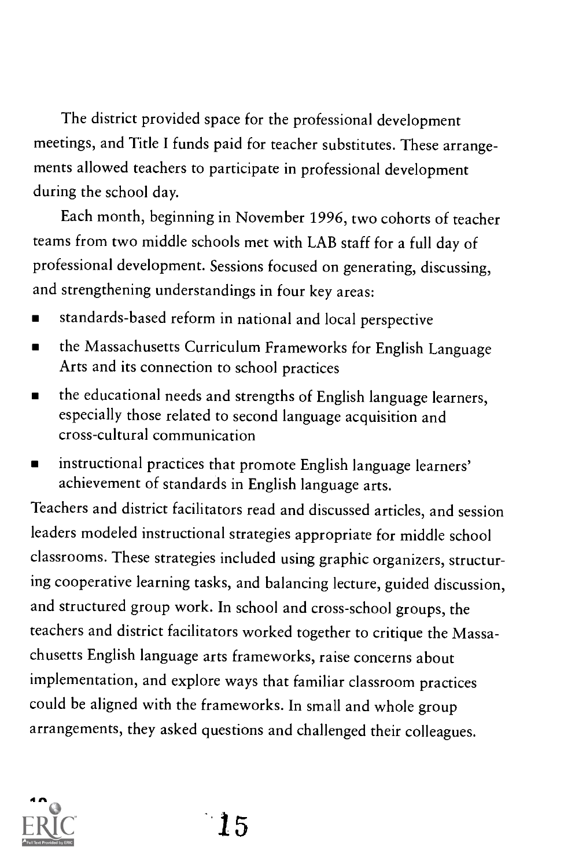The district provided space for the professional development meetings, and Title I funds paid for teacher substitutes. These arrangements allowed teachers to participate in professional development during the school day.

Each month, beginning in November 1996, two cohorts of teacher teams from two middle schools met with LAB staff for a full day of professional development. Sessions focused on generating, discussing, and strengthening understandings in four key areas:

- standards-based reform in national and local perspective
- the Massachusetts Curriculum Frameworks for English Language  $\blacksquare$ Arts and its connection to school practices
- the educational needs and strengths of English language learners,  $\blacksquare$ especially those related to second language acquisition and cross-cultural communication
- instructional practices that promote English language learners'  $\blacksquare$ achievement of standards in English language arts.

Teachers and district facilitators read and discussed articles, and session leaders modeled instructional strategies appropriate for middle school classrooms. These strategies included using graphic organizers, structuring cooperative learning tasks, and balancing lecture, guided discussion, and structured group work. In school and cross-school groups, the teachers and district facilitators worked together to critique the Massachusetts English language arts frameworks, raise concerns about implementation, and explore ways that familiar classroom practices could be aligned with the frameworks. In small and whole group arrangements, they asked questions and challenged their colleagues.



15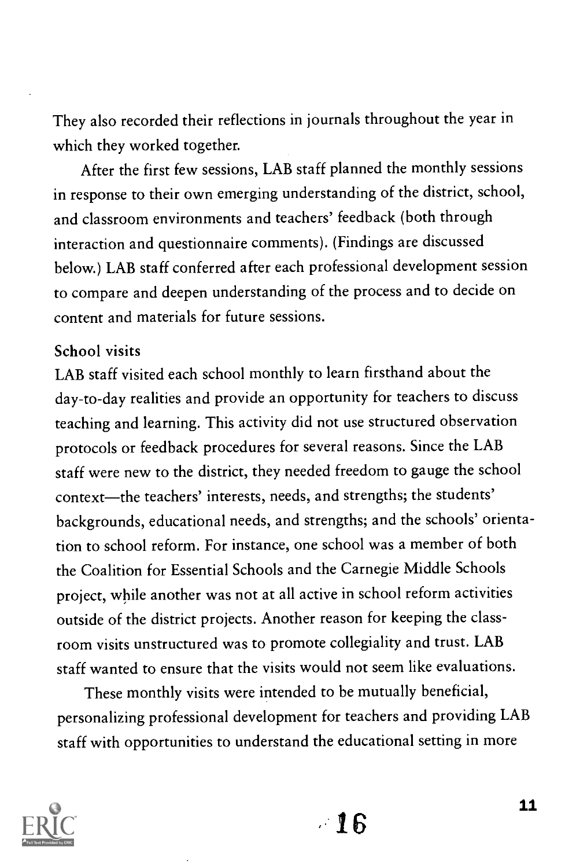They also recorded their reflections in journals throughout the year in which they worked together.

After the first few sessions, LAB staff planned the monthly sessions in response to their own emerging understanding of the district, school, and classroom environments and teachers' feedback (both through interaction and questionnaire comments). (Findings are discussed below.) LAB staff conferred after each professional development session to compare and deepen understanding of the process and to decide on content and materials for future sessions.

#### School visits

LAB staff visited each school monthly to learn firsthand about the day-to-day realities and provide an opportunity for teachers to discuss teaching and learning. This activity did not use structured observation protocols or feedback procedures for several reasons. Since the LAB staff were new to the district, they needed freedom to gauge the school context-the teachers' interests, needs, and strengths; the students' backgrounds, educational needs, and strengths; and the schools' orientation to school reform. For instance, one school was a member of both the Coalition for Essential Schools and the Carnegie Middle Schools project, while another was not at all active in school reform activities outside of the district projects. Another reason for keeping the classroom visits unstructured was to promote collegiality and trust. LAB staff wanted to ensure that the visits would not seem like evaluations.

These monthly visits were intended to be mutually beneficial, personalizing professional development for teachers and providing LAB staff with opportunities to understand the educational setting in more

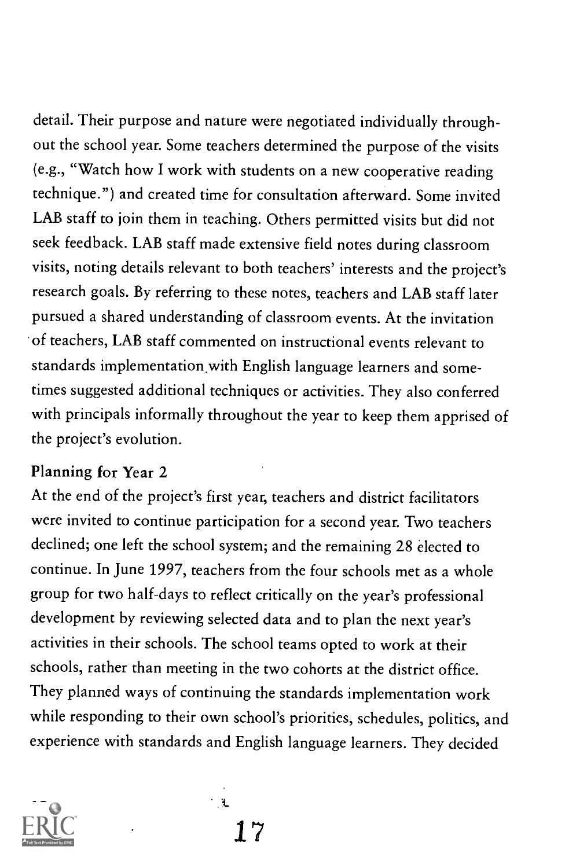detail. Their purpose and nature were negotiated individually throughout the school year. Some teachers determined the purpose of the visits (e.g., "Watch how I work with students on a new cooperative reading technique.") and created time for consultation afterward. Some invited LAB staff to join them in teaching. Others permitted visits but did not seek feedback. LAB staff made extensive field notes during classroom visits, noting details relevant to both teachers' interests and the project's research goals. By referring to these notes, teachers and LAB staff later pursued a shared understanding of classroom events. At the invitation of teachers, LAB staff commented on instructional events relevant to standards implementation with English language learners and sometimes suggested additional techniques or activities. They also conferred with principals informally throughout the year to keep them apprised of the project's evolution.

#### Planning for Year 2

At the end of the project's first year, teachers and district facilitators were invited to continue participation for a second year. Two teachers declined; one left the school system; and the remaining 28 elected to continue. In June 1997, teachers from the four schools met as a whole group for two half-days to reflect critically on the year's professional development by reviewing selected data and to plan the next year's activities in their schools. The school teams opted to work at their schools, rather than meeting in the two cohorts at the district office. They planned ways of continuing the standards implementation work while responding to their own school's priorities, schedules, politics, and experience with standards and English language learners. They decided



 $\mathbf{L}$ 17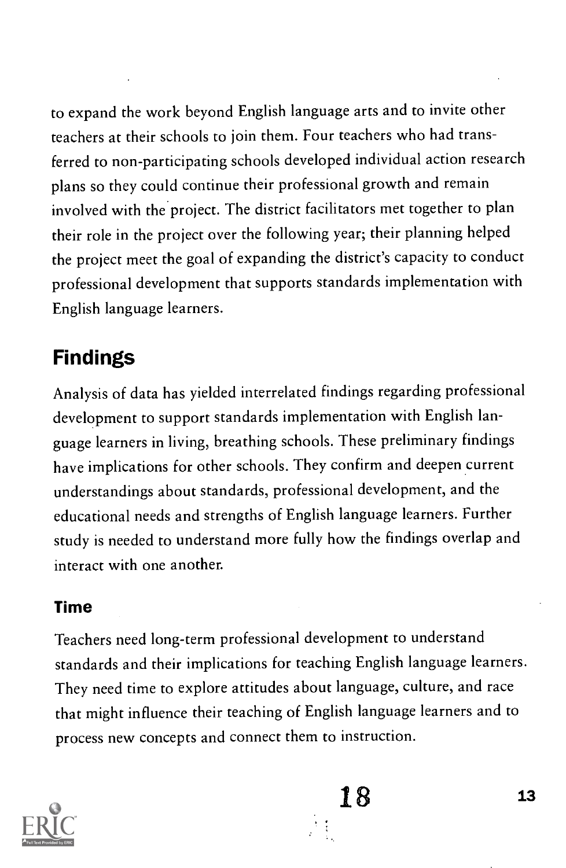to expand the work beyond English language arts and to invite other teachers at their schools to join them. Four teachers who had transferred to non-participating schools developed individual action research plans so they could continue their professional growth and remain involved with the project. The district facilitators met together to plan their role in the project over the following year; their planning helped the project meet the goal of expanding the district's capacity to conduct professional development that supports standards implementation with English language learners.

# Findings

Analysis of data has yielded interrelated findings regarding professional development to support standards implementation with English language learners in living, breathing schools. These preliminary findings have implications for other schools. They confirm and deepen current understandings about standards, professional development, and the educational needs and strengths of English language learners. Further study is needed to understand more fully how the findings overlap and interact with one another.

#### Time

Teachers need long-term professional development to understand standards and their implications for teaching English language learners. They need time to explore attitudes about language, culture, and race that might influence their teaching of English language learners and to process new concepts and connect them to instruction.

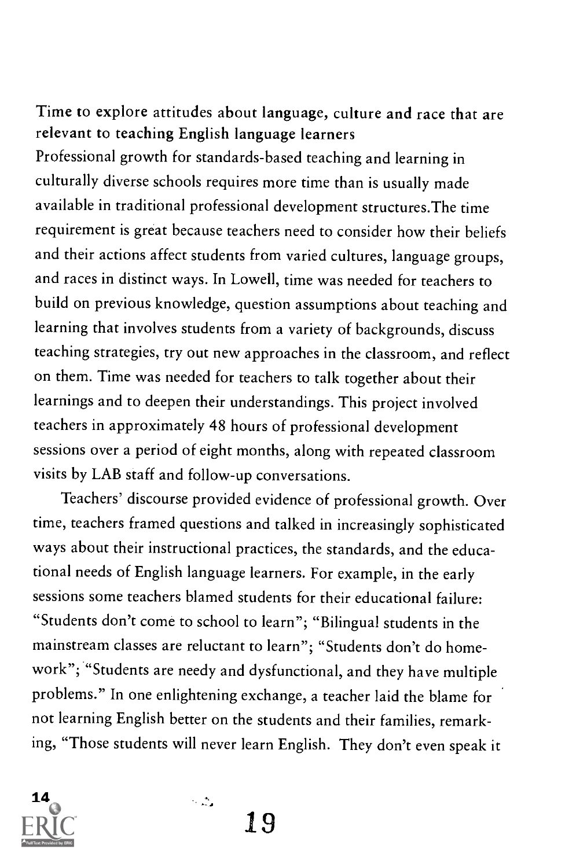#### Time to explore attitudes about language, culture and race that are relevant to teaching English language learners

Professional growth for standards-based teaching and learning in culturally diverse schools requires more time than is usually made available in traditional professional development structures.The time requirement is great because teachers need to consider how their beliefs and their actions affect students from varied cultures, language groups, and races in distinct ways. In Lowell, time was needed for teachers to build on previous knowledge, question assumptions about teaching and learning that involves students from a variety of backgrounds, discuss teaching strategies, try out new approaches in the classroom, and reflect on them. Time was needed for teachers to talk together about their learnings and to deepen their understandings. This project involved teachers in approximately 48 hours of professional development sessions over a period of eight months, along with repeated classroom visits by LAB staff and follow-up conversations.

Teachers' discourse provided evidence of professional growth. Over time, teachers framed questions and talked in increasingly sophisticated ways about their instructional practices, the standards, and the educational needs of English language learners. For example, in the early sessions some teachers blamed students for their educational failure: "Students don't come to school to learn"; "Bilingual students in the mainstream classes are reluctant to learn"; "Students don't do homework"; "Students are needy and dysfunctional, and they have multiple problems." In one enlightening exchange, a teacher laid the blame for not learning English better on the students and their families, remarking, "Those students will never learn English. They don't even speak it



19

 $\sim 100$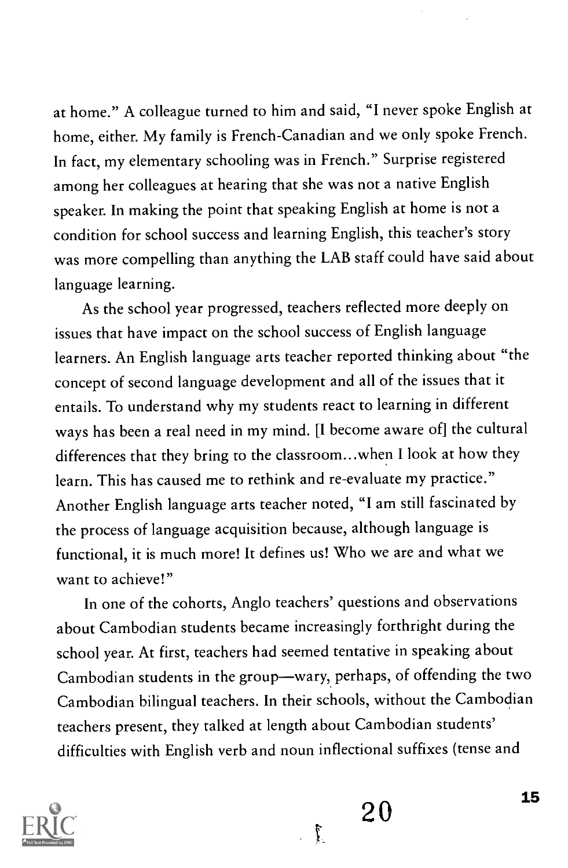at home." A colleague turned to him and said, "I never spoke English at home, either. My family is French-Canadian and we only spoke French. In fact, my elementary schooling was in French." Surprise registered among her colleagues at hearing that she was not a native English speaker. In making the point that speaking English at home is not a condition for school success and learning English, this teacher's story was more compelling than anything the LAB staff could have said about language learning.

As the school year progressed, teachers reflected more deeply on issues that have impact on the school success of English language learners. An English language arts teacher reported thinking about "the concept of second language development and all of the issues that it entails. To understand why my students react to learning in different ways has been a real need in my mind. [I become aware of] the cultural differences that they bring to the classroom...when I look at how they learn. This has caused me to rethink and re-evaluate my practice." Another English language arts teacher noted, "I am still fascinated by the process of language acquisition because, although language is functional, it is much more! It defines us! Who we are and what we want to achieve!"

In one of the cohorts, Anglo teachers' questions and observations about Cambodian students became increasingly forthright during the school year. At first, teachers had seemed tentative in speaking about Cambodian students in the group-wary, perhaps, of offending the two Cambodian bilingual teachers. In their schools, without the Cambodian teachers present, they talked at length about Cambodian students' difficulties with English verb and noun inflectional suffixes (tense and

ţ



 $20 \frac{15}{10}$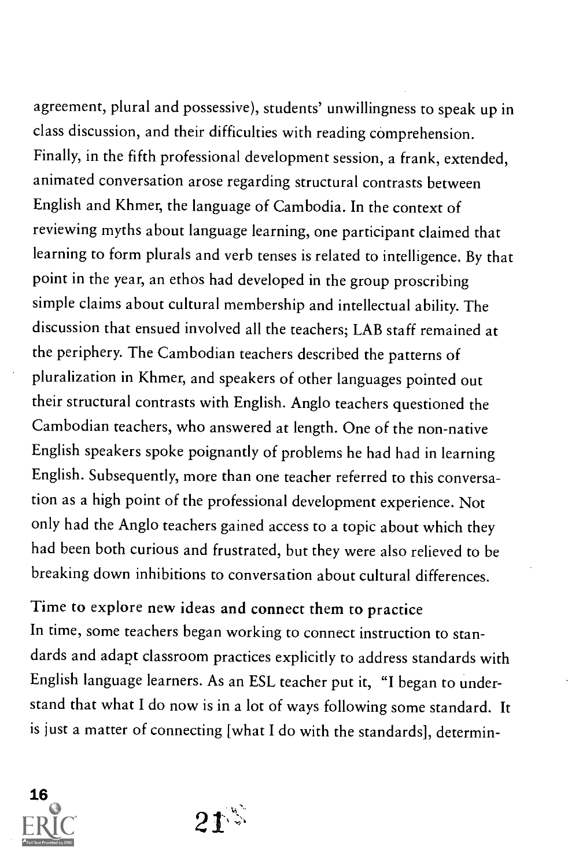agreement, plural and possessive), students' unwillingness to speak up in class discussion, and their difficulties with reading comprehension. Finally, in the fifth professional development session, a frank, extended, animated conversation arose regarding structural contrasts between English and Khmer, the language of Cambodia. In the context of reviewing myths about language learning, one participant claimed that learning to form plurals and verb tenses is related to intelligence. By that point in the year, an ethos had developed in the group proscribing simple claims about cultural membership and intellectual ability. The discussion that ensued involved all the teachers; LAB staff remained at the periphery. The Cambodian teachers described the patterns of pluralization in Khmer, and speakers of other languages pointed out their structural contrasts with English. Anglo teachers questioned the Cambodian teachers, who answered at length. One of the non-native English speakers spoke poignantly of problems he had had in learning English. Subsequently, more than one teacher referred to this conversation as a high point of the professional development experience. Not only had the Anglo teachers gained access to a topic about which they had been both curious and frustrated, but they were also relieved to be breaking down inhibitions to conversation about cultural differences.

Time to explore new ideas and connect them to practice In time, some teachers began working to connect instruction to standards and adapt classroom practices explicitly to address standards with English language learners. As an ESL teacher put it, "I began to understand that what I do now is in a lot of ways following some standard. It is just a matter of connecting [what I do with the standards], determin-



 $21^{\frac{1}{2}}$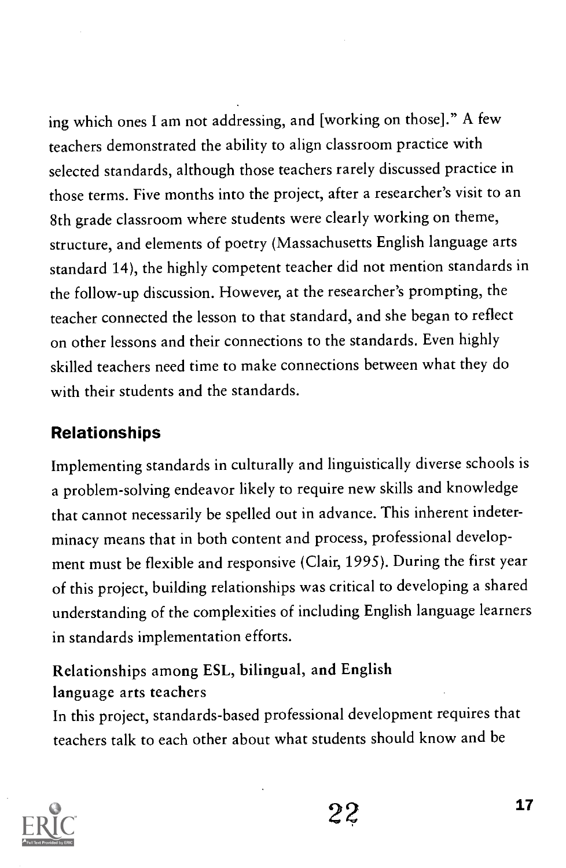ing which ones I am not addressing, and [working on those]." A few teachers demonstrated the ability to align classroom practice with selected standards, although those teachers rarely discussed practice in those terms. Five months into the project, after a researcher's visit to an 8th grade classroom where students were clearly working on theme, structure, and elements of poetry (Massachusetts English language arts standard 14), the highly competent teacher did not mention standards in the follow-up discussion. However, at the researcher's prompting, the teacher connected the lesson to that standard, and she began to reflect on other lessons and their connections to the standards. Even highly skilled teachers need time to make connections between what they do with their students and the standards.

## Relationships

Implementing standards in culturally and linguistically diverse schools is a problem-solving endeavor likely to require new skills and knowledge that cannot necessarily be spelled out in advance. This inherent indeterminacy means that in both content and process, professional development must be flexible and responsive (Clair, 1995). During the first year of this project, building relationships was critical to developing a shared understanding of the complexities of including English language learners in standards implementation efforts.

## Relationships among ESL, bilingual, and English language arts teachers

In this project, standards-based professional development requires that teachers talk to each other about what students should know and be

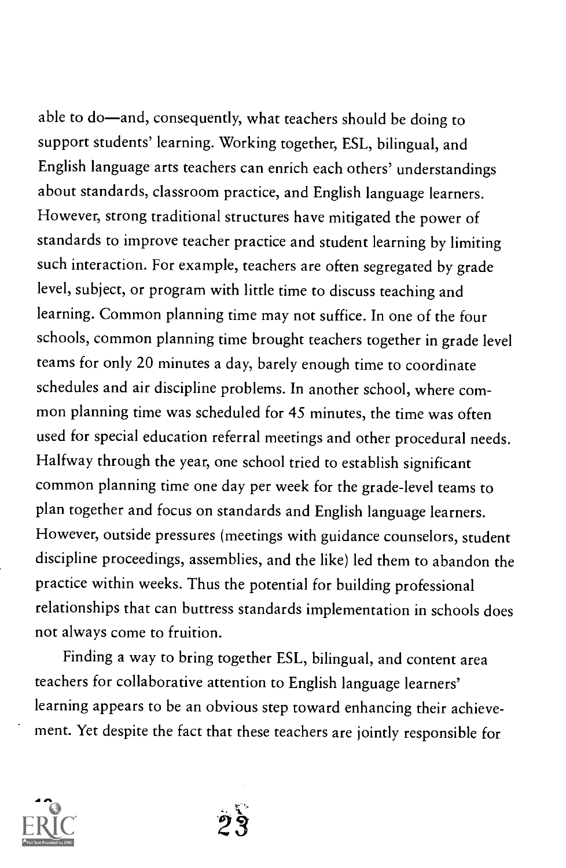able to do—and, consequently, what teachers should be doing to support students' learning. Working together, ESL, bilingual, and English language arts teachers can enrich each others' understandings about standards, classroom practice, and English language learners. However, strong traditional structures have mitigated the power of standards to improve teacher practice and student learning by limiting such interaction. For example, teachers are often segregated by grade level, subject, or program with little time to discuss teaching and learning. Common planning time may not suffice. In one of the four schools, common planning time brought teachers together in grade level teams for only 20 minutes a day, barely enough time to coordinate schedules and air discipline problems. In another school, where common planning time was scheduled for 45 minutes, the time was often used for special education referral meetings and other procedural needs. Halfway through the year, one school tried to establish significant common planning time one day per week for the grade-level teams to plan together and focus on standards and English language learners. However, outside pressures (meetings with guidance counselors, student discipline proceedings, assemblies, and the like) led them to abandon the practice within weeks. Thus the potential for building professional relationships that can buttress standards implementation in schools does not always come to fruition.

Finding a way to bring together ESL, bilingual, and content area teachers for collaborative attention to English language learners' learning appears to be an obvious step toward enhancing their achievement. Yet despite the fact that these teachers are jointly responsible for



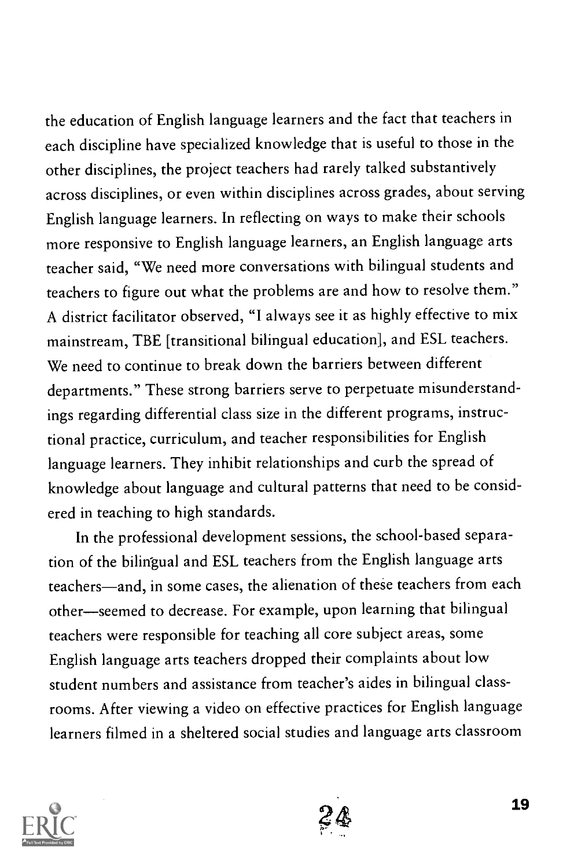the education of English language learners and the fact that teachers in each discipline have specialized knowledge that is useful to those in the other disciplines, the project teachers had rarely talked substantively across disciplines, or even within disciplines across grades, about serving English language learners. In reflecting on ways to make their schools more responsive to English language learners, an English language arts teacher said, "We need more conversations with bilingual students and teachers to figure out what the problems are and how to resolve them." A district facilitator observed, "I always see it as highly effective to mix mainstream, TBE [transitional bilingual education], and ESL teachers. We need to continue to break down the barriers between different departments." These strong barriers serve to perpetuate misunderstandings regarding differential class size in the different programs, instructional practice, curriculum, and teacher responsibilities for English language learners. They inhibit relationships and curb the spread of knowledge about language and cultural patterns that need to be considered in teaching to high standards.

In the professional development sessions, the school-based separation of the bilingual and ESL teachers from the English language arts teachers-and, in some cases, the alienation of these teachers from each other-seemed to decrease. For example, upon learning that bilingual teachers were responsible for teaching all core subject areas, some English language arts teachers dropped their complaints about low student numbers and assistance from teacher's aides in bilingual classrooms. After viewing a video on effective practices for English language learners filmed in a sheltered social studies and language arts classroom



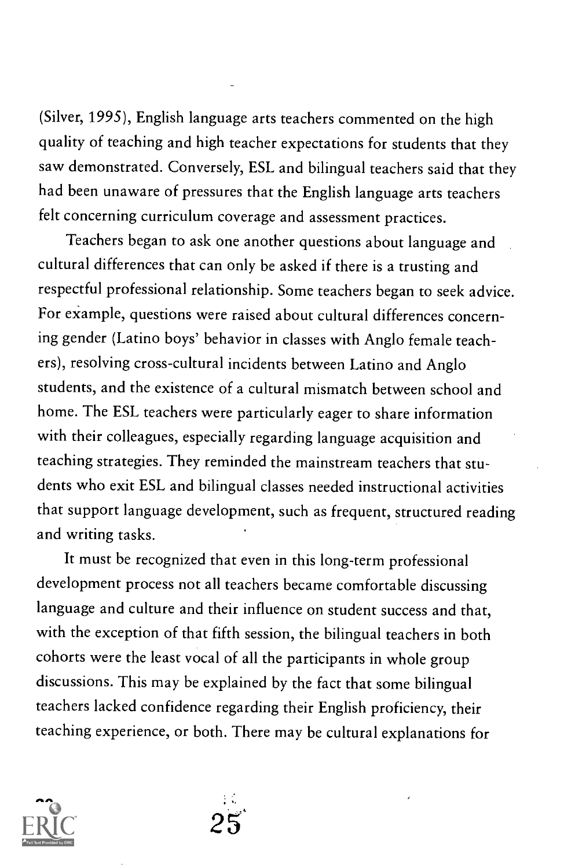(Silver, 1995), English language arts teachers commented on the high quality of teaching and high teacher expectations for students that they saw demonstrated. Conversely, ESL and bilingual teachers said that they had been unaware of pressures that the English language arts teachers felt concerning curriculum coverage and assessment practices.

Teachers began to ask one another questions about language and cultural differences that can only be asked if there is a trusting and respectful professional relationship. Some teachers began to seek advice. For example, questions were raised about cultural differences concerning gender (Latino boys' behavior in classes with Anglo female teachers), resolving cross-cultural incidents between Latino and Anglo students, and the existence of a cultural mismatch between school and home. The ESL teachers were particularly eager to share information with their colleagues, especially regarding language acquisition and teaching strategies. They reminded the mainstream teachers that students who exit ESL and bilingual classes needed instructional activities that support language development, such as frequent, structured reading and writing tasks.

It must be recognized that even in this long-term professional development process not all teachers became comfortable discussing language and culture and their influence on student success and that, with the exception of that fifth session, the bilingual teachers in both cohorts were the least vocal of all the participants in whole group discussions. This may be explained by the fact that some bilingual teachers lacked confidence regarding their English proficiency, their teaching experience, or both. There may be cultural explanations for



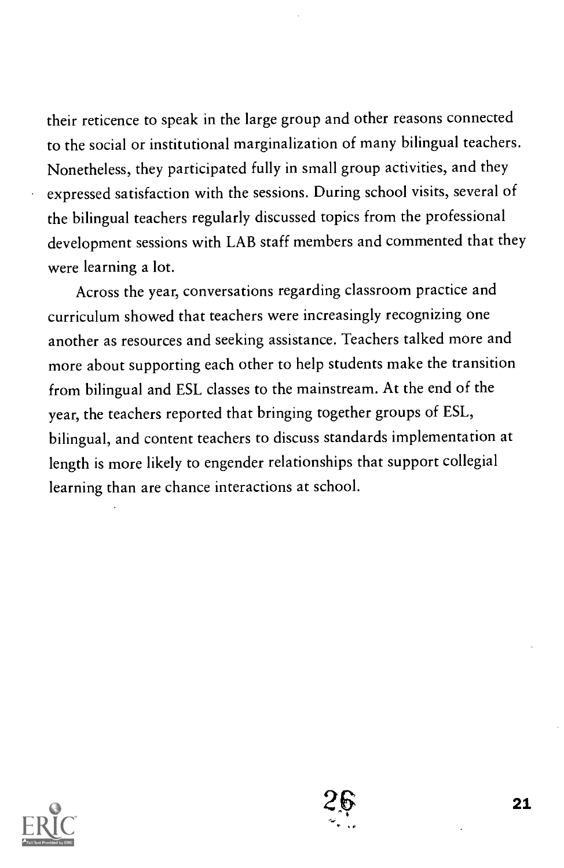their reticence to speak in the large group and other reasons connected to the social or institutional marginalization of many bilingual teachers. Nonetheless, they participated fully in small group activities, and they expressed satisfaction with the sessions. During school visits, several of the bilingual teachers regularly discussed topics from the professional development sessions with LAB staff members and commented that they were learning a lot.

Across the year, conversations regarding classroom practice and curriculum showed that teachers were increasingly recognizing one another as resources and seeking assistance. Teachers talked more and more about supporting each other to help students make the transition from bilingual and ESL classes to the mainstream. At the end of the year, the teachers reported that bringing together groups of ESL, bilingual, and content teachers to discuss standards implementation at length is more likely to engender relationships that support collegial learning than are chance interactions at school.



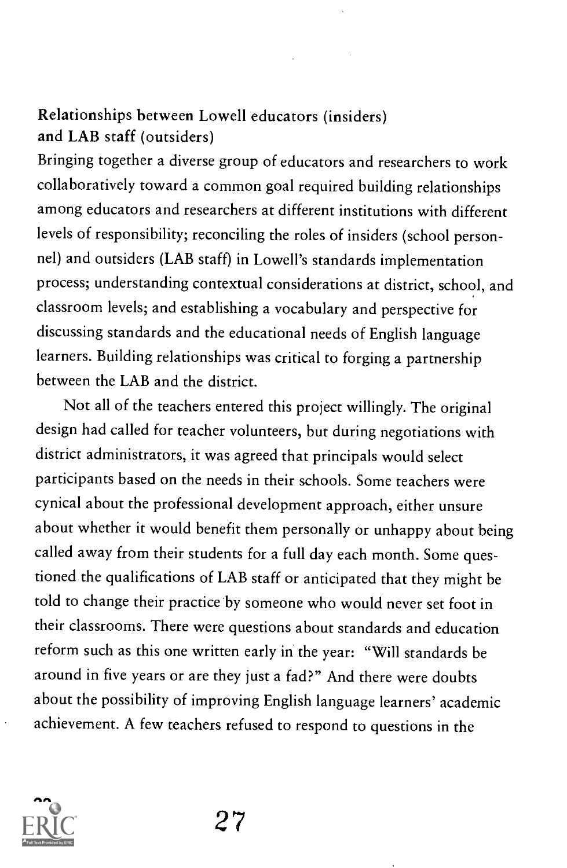#### Relationships between Lowell educators (insiders) and LAB staff (outsiders)

Bringing together a diverse group of educators and researchers to work collaboratively toward a common goal required building relationships among educators and researchers at different institutions with different levels of responsibility; reconciling the roles of insiders (school personnel) and outsiders (LAB staff) in Lowell's standards implementation process; understanding contextual considerations at district, school, and classroom levels; and establishing a vocabulary and perspective for discussing standards and the educational needs of English language learners. Building relationships was critical to forging a partnership between the LAB and the district.

Not all of the teachers entered this project willingly. The original design had called for teacher volunteers, but during negotiations with district administrators, it was agreed that principals would select participants based on the needs in their schools. Some teachers were cynical about the professional development approach, either unsure about whether it would benefit them personally or unhappy about being called away from their students for a full day each month. Some questioned the qualifications of LAB staff or anticipated that they might be told to change their practice by someone who would never set foot in their classrooms. There were questions about standards and education reform such as this one written early in the year: "Will standards be around in five years or are they just a fad?" And there were doubts about the possibility of improving English language learners' academic achievement. A few teachers refused to respond to questions in the

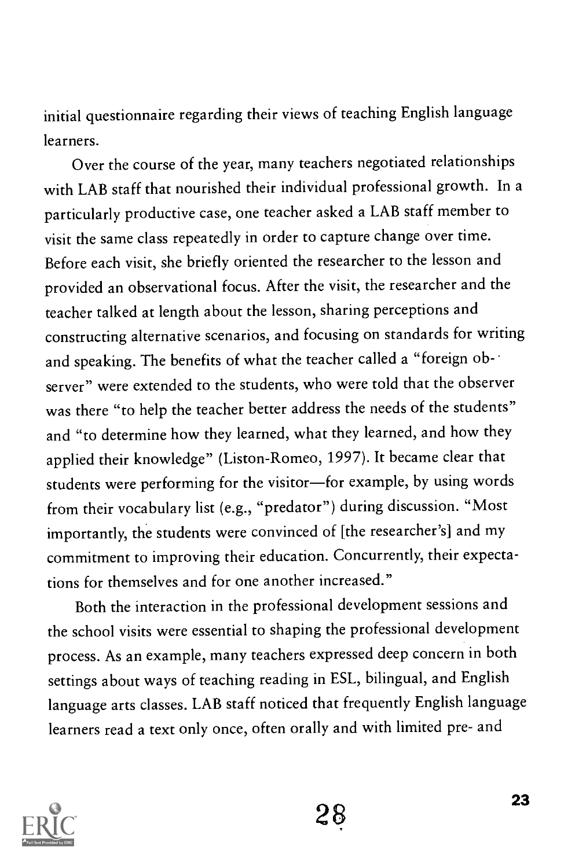initial questionnaire regarding their views of teaching English language learners.

Over the course of the year, many teachers negotiated relationships with LAB staff that nourished their individual professional growth. In a particularly productive case, one teacher asked a LAB staff member to visit the same class repeatedly in order to capture change over time. Before each visit, she briefly oriented the researcher to the lesson and provided an observational focus. After the visit, the researcher and the teacher talked at length about the lesson, sharing perceptions and constructing alternative scenarios, and focusing on standards for writing and speaking. The benefits of what the teacher called a "foreign observer" were extended to the students, who were told that the observer was there "to help the teacher better address the needs of the students" and "to determine how they learned, what they learned, and how they applied their knowledge" (Liston-Romeo, 1997). It became clear that students were performing for the visitor-for example, by using words from their vocabulary list (e.g., "predator") during discussion. "Most importantly, the students were convinced of [the researcher's] and my commitment to improving their education. Concurrently, their expectations for themselves and for one another increased."

Both the interaction in the professional development sessions and the school visits were essential to shaping the professional development process. As an example, many teachers expressed deep concern in both settings about ways of teaching reading in ESL, bilingual, and English language arts classes. LAB staff noticed that frequently English language learners read a text only once, often orally and with limited pre- and

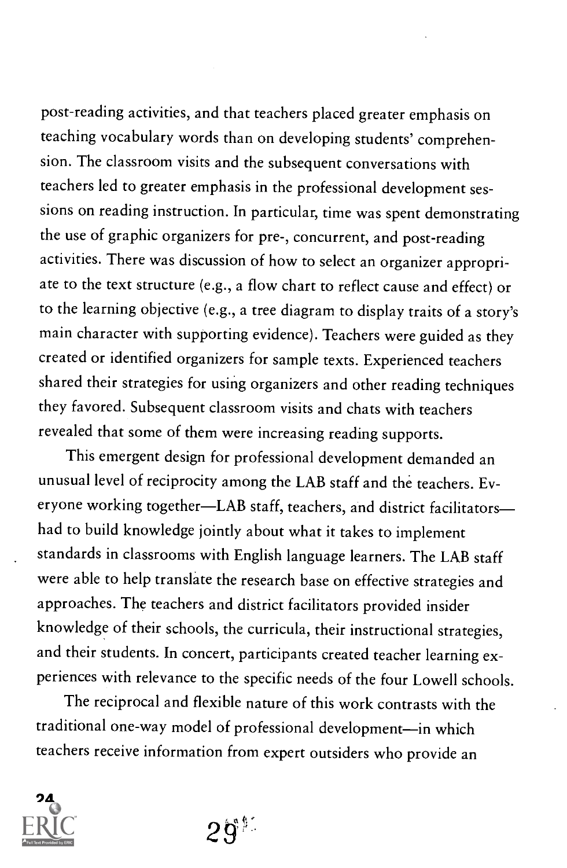post-reading activities, and that teachers placed greater emphasis on teaching vocabulary words than on developing students' comprehension. The classroom visits and the subsequent conversations with teachers led to greater emphasis in the professional development ses sions on reading instruction. In particular, time was spent demonstrating the use of graphic organizers for pre-, concurrent, and post-reading activities. There was discussion of how to select an organizer appropriate to the text structure (e.g., a flow chart to reflect cause and effect) or to the learning objective (e.g., a tree diagram to display traits of a story's main character with supporting evidence). Teachers were guided as they created or identified organizers for sample texts. Experienced teachers shared their strategies for using organizers and other reading techniques they favored. Subsequent classroom visits and chats with teachers revealed that some of them were increasing reading supports.

This emergent design for professional development demanded an unusual level of reciprocity among the LAB staff and the teachers. Everyone working together-LAB staff, teachers, and district facilitatorshad to build knowledge jointly about what it takes to implement standards in classrooms with English language learners. The LAB staff were able to help translate the research base on effective strategies and approaches. The teachers and district facilitators provided insider knowledge of their schools, the curricula, their instructional strategies, and their students. In concert, participants created teacher learning experiences with relevance to the specific needs of the four Lowell schools.

The reciprocal and flexible nature of this work contrasts with the traditional one-way model of professional development-in which teachers receive information from expert outsiders who provide an



 $2$ q် $^{\circ}$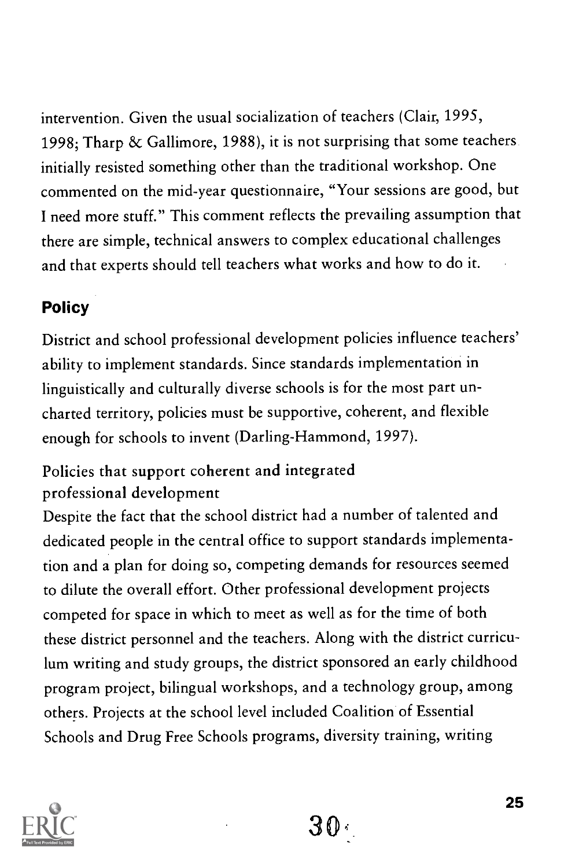intervention. Given the usual socialization of teachers (Clair, 1995, 1998; Tharp & Gallimore, 1988), it is not surprising that some teachers initially resisted something other than the traditional workshop. One commented on the mid-year questionnaire, "Your sessions are good, but I need more stuff." This comment reflects the prevailing assumption that there are simple, technical answers to complex educational challenges and that experts should tell teachers what works and how to do it.

### Policy

District and school professional development policies influence teachers' ability to implement standards. Since standards implementation in linguistically and culturally diverse schools is for the most part uncharted territory, policies must be supportive, coherent, and flexible enough for schools to invent (Darling-Hammond, 1997).

### Policies that support coherent and integrated professional development

Despite the fact that the school district had a number of talented and dedicated people in the central office to support standards implementation and a plan for doing so, competing demands for resources seemed to dilute the overall effort. Other professional development projects competed for space in which to meet as well as for the time of both these district personnel and the teachers. Along with the district curriculum writing and study groups, the district sponsored an early childhood program project, bilingual workshops, and a technology group, among others. Projects at the school level included Coalition of Essential Schools and Drug Free Schools programs, diversity training, writing



30,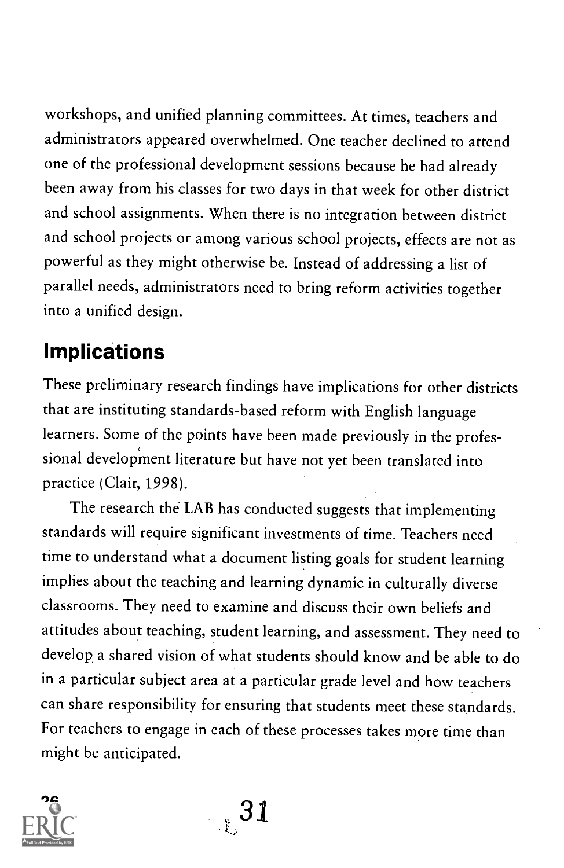workshops, and unified planning committees. At times, teachers and administrators appeared overwhelmed. One teacher declined to attend one of the professional development sessions because he had already been away from his classes for two days in that week for other district and school assignments. When there is no integration between district and school projects or among various school projects, effects are not as powerful as they might otherwise be. Instead of addressing a list of parallel needs, administrators need to bring reform activities together into a unified design.

# Implications

These preliminary research findings have implications for other districts that are instituting standards-based reform with English language learners. Some of the points have been made previously in the professional development literature but have not yet been translated into practice (Clair, 1998).

The research the LAB has conducted suggests that implementing standards will require significant investments of time. Teachers need time to understand what a document listing goals for student learning implies about the teaching and learning dynamic in culturally diverse classrooms. They need to examine and discuss their own beliefs and attitudes about teaching, student learning, and assessment. They need to develop a shared vision of what students should know and be able to do in a particular subject area at a particular grade level and how teachers can share responsibility for ensuring that students meet these standards. For teachers to engage in each of these processes takes more time than might be anticipated.



<sup>26</sup> 31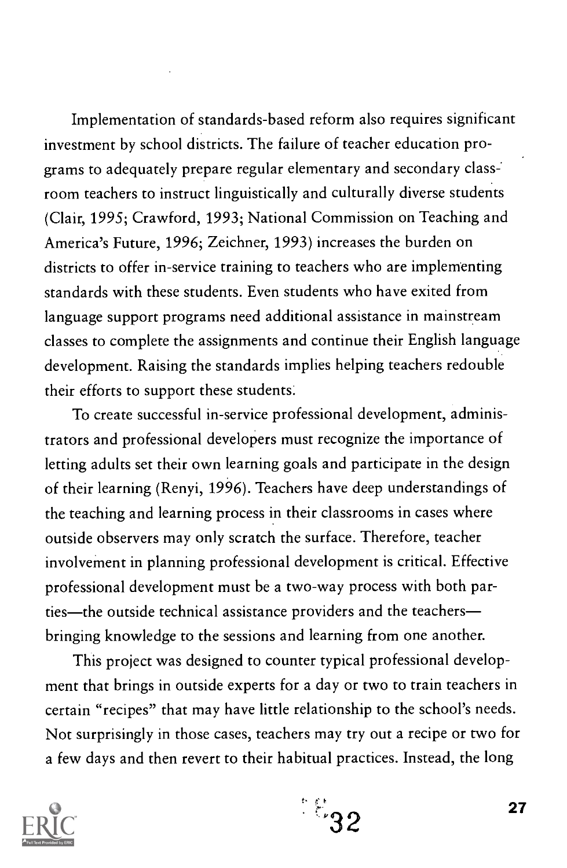Implementation of standards-based reform also requires significant investment by school districts. The failure of teacher education programs to adequately prepare regular elementary and secondary class: room teachers to instruct linguistically and culturally diverse students (Clair, 1995; Crawford, 1993; National Commission on Teaching and America's Future, 1996; Zeichner, 1993) increases the burden on districts to offer in-service training to teachers who are implementing standards with these students. Even students who have exited from language support programs need additional assistance in mainstream classes to complete the assignments and continue their English language development. Raising the standards implies helping teachers redouble their efforts to support these students.

To create successful in-service professional development, administrators and professional developers must recognize the importance of letting adults set their own learning goals and participate in the design of their learning (Renyi, 1996). Teachers have deep understandings of the teaching and learning process in their classrooms in cases where outside observers may only scratch the surface. Therefore, teacher involvement in planning professional development is critical. Effective professional development must be a two-way process with both parties—the outside technical assistance providers and the teachers bringing knowledge to the sessions and learning from one another.

This project was designed to counter typical professional development that brings in outside experts for a day or two to train teachers in certain "recipes" that may have little relationship to the school's needs. Not surprisingly in those cases, teachers may try out a recipe or two for a few days and then revert to their habitual practices. Instead, the long



 $\mathbb{E}_{32}$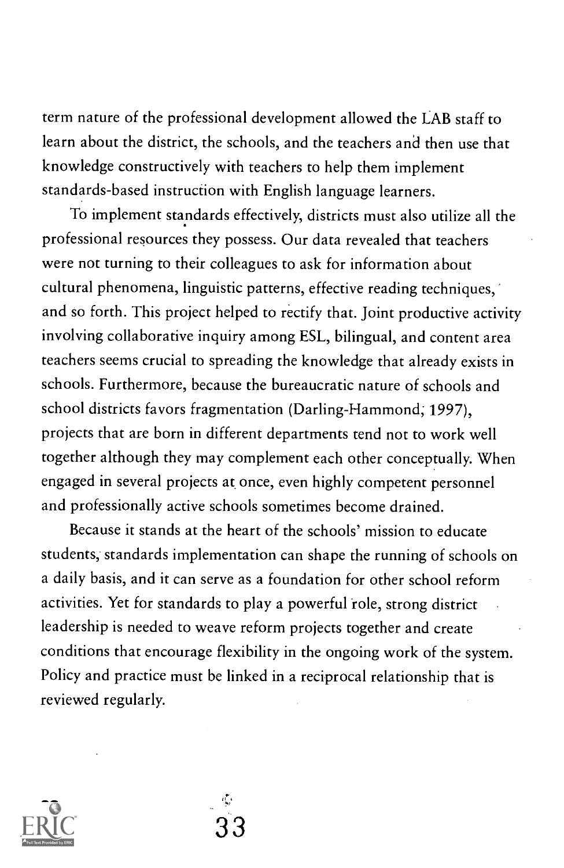term nature of the professional development allowed the LAB staff to learn about the district, the schools, and the teachers and then use that knowledge constructively with teachers to help them implement standards-based instruction with English language learners.

To implement standards effectively, districts must also utilize all the professional resources they possess. Our data revealed that teachers were not turning to their colleagues to ask for information about cultural phenomena, linguistic patterns, effective reading techniques, and so forth. This project helped to rectify that. Joint productive activity involving collaborative inquiry among ESL, bilingual, and content area teachers seems crucial to spreading the knowledge that already exists in schools. Furthermore, because the bureaucratic nature of schools and school districts favors fragmentation (Darling-Hammond; 1997), projects that are born in different departments tend not to work well together although they may complement each other conceptually. When engaged in several projects at once, even highly competent personnel and professionally active schools sometimes become drained.

Because it stands at the heart of the schools' mission to educate students; standards implementation can shape the running of schools on a daily basis, and it can serve as a foundation for other school reform activities. Yet for standards to play a powerful role, strong district leadership is needed to weave reform projects together and create conditions that encourage flexibility in the ongoing work of the system. Policy and practice must be linked in a reciprocal relationship that is reviewed regularly.



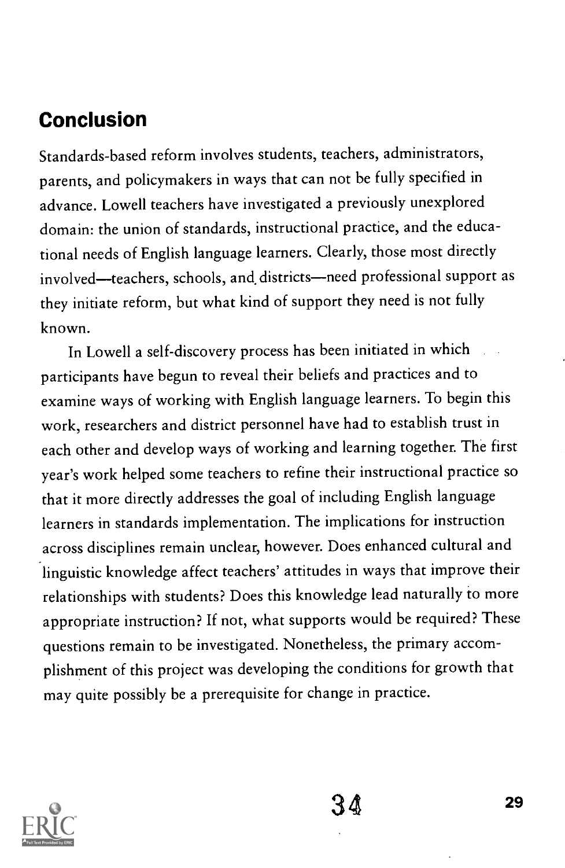# Conclusion

Standards-based reform involves students, teachers, administrators, parents, and policymakers in ways that can not be fully specified in advance. Lowell teachers have investigated a previously unexplored domain: the union of standards, instructional practice, and the educational needs of English language learners. Clearly, those most directly involved-teachers, schools, and districts-need professional support as they initiate reform, but what kind of support they need is not fully known.

In Lowell a self-discovery process has been initiated in which participants have begun to reveal their beliefs and practices and to examine ways of working with English language learners. To begin this work, researchers and district personnel have had to establish trust in each other and develop ways of working and learning together. The first year's work helped some teachers to refine their instructional practice so that it more directly addresses the goal of including English language learners in standards implementation. The implications for instruction across disciplines remain unclear, however. Does enhanced cultural and linguistic knowledge affect teachers' attitudes in ways that improve their relationships with students? Does this knowledge lead naturally to more appropriate instruction? If not, what supports would be required? These questions remain to be investigated. Nonetheless, the primary accomplishment of this project was developing the conditions for growth that may quite possibly be a prerequisite for change in practice.

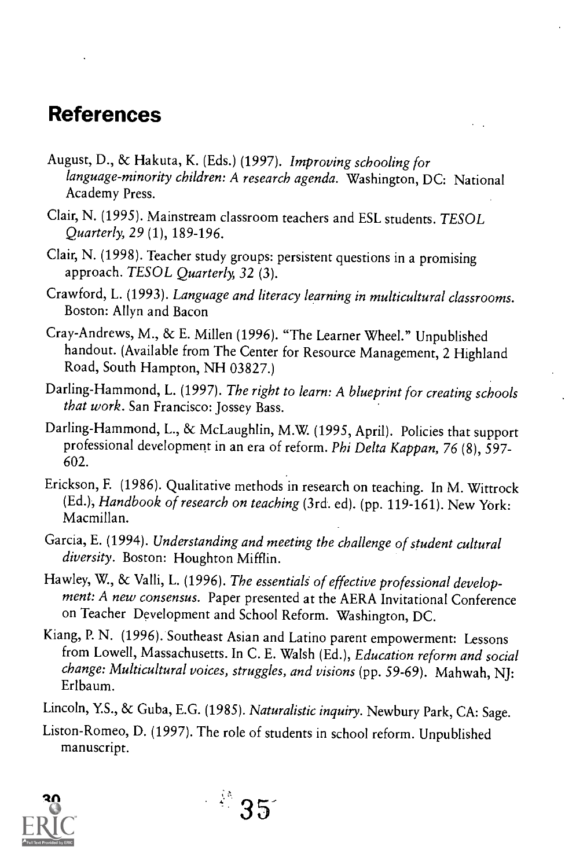## References

- August, D., & Hakuta, K. (Eds.) (1997). Improving schooling for language-minority children: A research agenda. Washington, DC: National Academy Press.
- Clair, N. (1995). Mainstream classroom teachers and ESL students. TESOL Quarterly, 29 (1), 189-196.
- Clair, N. (1998). Teacher study groups: persistent questions in a promising approach. TESOL Quarterly, 32 (3).
- Crawford, L. (1993). Language and literacy learning in multicultural classrooms. Boston: Allyn and Bacon
- Cray-Andrews, M., & E. Millen (1996). "The Learner Wheel." Unpublished handout. (Available from The Center for Resource Management, 2 Highland Road, South Hampton, NH 03827.)
- Darling-Hammond, L. (1997). The right to learn: A blueprint for creating schools that work. San Francisco: Jossey Bass.
- Darling-Hammond, L., & McLaughlin, M.W. (1995, April). Policies that support professional development in an era of reform. Phi Delta Kappan, 76 (8), 597-602.
- Erickson, E (1986). Qualitative methods in research on teaching. In M. Wittrock (Ed.), Handbook of research on teaching (3rd. ed). (pp. 119-161). New York: Macmillan.
- Garcia, E. (1994). Understanding and meeting the challenge of student cultural diversity. Boston: Houghton Mifflin.
- Hawley, W., & Valli, L. (1996). The essentials of effective professional development: A new consensus. Paper presented at the AERA Invitational Conference on Teacher Development and School Reform. Washington, DC.
- Kiang, P. N. (1996). Southeast Asian and Latino parent empowerment: Lessons from Lowell, Massachusetts. In C. E. Walsh (Ed.), Education reform and social change: Multicultural voices, struggles, and visions (pp. 59-69). Mahwah, NJ: Erlbaum.
- Lincoln, Y.S., & Guba, E.G. (1985). Naturalistic inquiry. Newbury Park, CA: Sage.
- Liston-Romeo, D. (1997). The role of students in school reform. Unpublished manuscript.

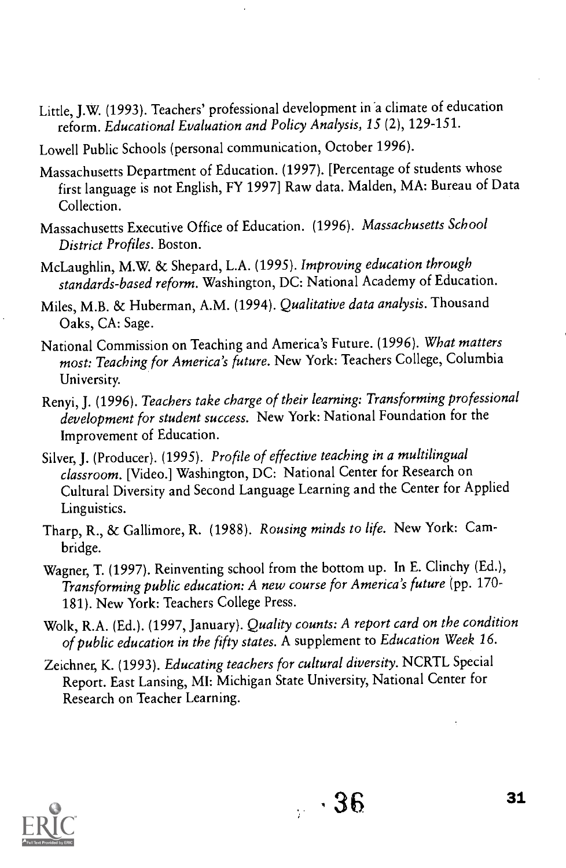- Little, J.W. (1993). Teachers' professional development in'a climate of education reform. Educational Evaluation and Policy Analysis, 15 (2), 129-151.
- Lowell Public Schools (personal communication, October 1996).
- Massachusetts Department of Education. (1997). [Percentage of students whose first language is not English, FY 1997] Raw data. Malden, MA: Bureau of Data Collection.
- Massachusetts Executive Office of Education. (1996). Massachusetts School District Profiles. Boston.
- McLaughlin, M.W. & Shepard, L.A. (1995). Improving education through standards-based reform. Washington, DC: National Academy of Education.
- Miles, M.B. & Huberman, A.M. (1994). Qualitative data analysis. Thousand Oaks, CA: Sage.
- National Commission on Teaching and America's Future. (1996). What matters most: Teaching for America's future. New York: Teachers College, Columbia University.
- Renyi, J. (1996). Teachers take charge of their learning: Transforming professional development for student success. New York: National Foundation for the Improvement of Education.
- Silver, J. (Producer). (1995). Profile of effective teaching in a multilingual classroom. [Video.] Washington, DC: National Center for Research on Cultural Diversity and Second Language Learning and the Center for Applied Linguistics.
- Tharp, R., & Gallimore, R. (1988). Rousing minds to life. New York: Cambridge.
- Wagner, T. (1997). Reinventing school from the bottom up. In E. Clinchy (Ed.), Transforming public education: A new course for America's future (pp. 170- 181). New York: Teachers College Press.
- Wolk, R.A. (Ed.). (1997, January). Quality counts: A report card on the condition of public education in the fifty states. A supplement to Education Week 16.
- Zeichner, K. (1993). Educating teachers for cultural diversity. NCRTL Special Report. East Lansing, MI: Michigan State University, National Center for Research on Teacher Learning.

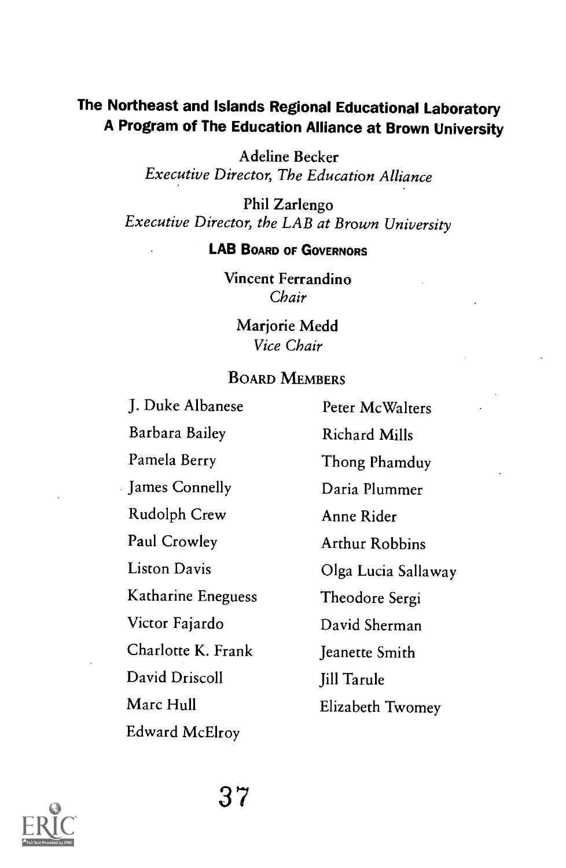#### The Northeast and Islands Regional Educational Laboratory A Program of The Education Alliance at Brown University

Adeline Becker Executive Director, The Education Alliance

Phil Zarlengo Executive Director, the LAB at Brown University

#### LAB BOARD OF GOVERNORS

Vincent Ferrandino Chair

> Marjorie Medd Vice Chair

#### BOARD MEMBERS

J. Duke Albanese Peter McWalters Barbara Bailey Richard Mills Pamela Berry Thong Phamduy James Connelly Dania Plummer Rudolph Crew Anne Rider Paul Crowley **Arthur Robbins** Katharine Eneguess Theodore Sergi Victor Fajardo David Sherman Charlotte K. Frank Jeanette Smith David Driscoll Jill Tarule Marc Hull **Elizabeth Twomey** Edward McElroy

Liston Davis Olga Lucia Sallaway